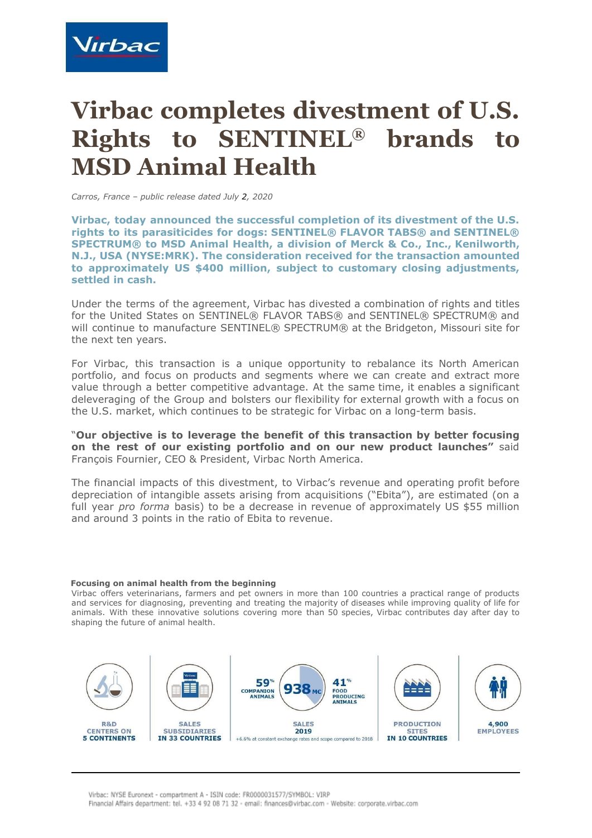

## **Virbac completes divestment of U.S. Rights to SENTINEL® brands to MSD Animal Health**

*Carros, France – public release dated July 2, 2020*

**Virbac, today announced the successful completion of its divestment of the U.S. rights to its parasiticides for dogs: SENTINEL® FLAVOR TABS® and SENTINEL® SPECTRUM® to MSD Animal Health, a division of Merck & Co., Inc., Kenilworth, N.J., USA (NYSE:MRK). The consideration received for the transaction amounted to approximately US \$400 million, subject to customary closing adjustments, settled in cash.**

Under the terms of the agreement, Virbac has divested a combination of rights and titles for the United States on SENTINEL® FLAVOR TABS® and SENTINEL® SPECTRUM® and will continue to manufacture SENTINEL® SPECTRUM® at the Bridgeton, Missouri site for the next ten years.

For Virbac, this transaction is a unique opportunity to rebalance its North American portfolio, and focus on products and segments where we can create and extract more value through a better competitive advantage. At the same time, it enables a significant deleveraging of the Group and bolsters our flexibility for external growth with a focus on the U.S. market, which continues to be strategic for Virbac on a long-term basis.

"**Our objective is to leverage the benefit of this transaction by better focusing on the rest of our existing portfolio and on our new product launches"** said François Fournier, CEO & President, Virbac North America.

The financial impacts of this divestment, to Virbac's revenue and operating profit before depreciation of intangible assets arising from acquisitions ("Ebita"), are estimated (on a full year *pro forma* basis) to be a decrease in revenue of approximately US \$55 million and around 3 points in the ratio of Ebita to revenue.

## **Focusing on animal health from the beginning**

Virbac offers veterinarians, farmers and pet owners in more than 100 countries a practical range of products and services for diagnosing, preventing and treating the majority of diseases while improving quality of life for animals. With these innovative solutions covering more than 50 species, Virbac contributes day after day to shaping the future of animal health.